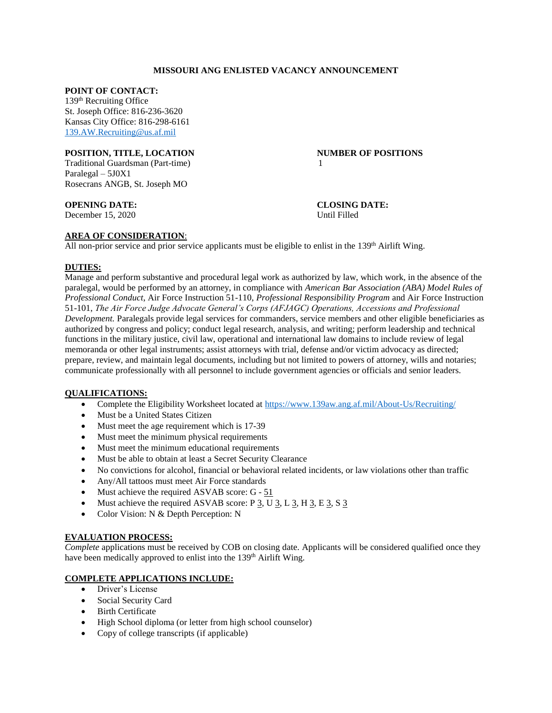## **MISSOURI ANG ENLISTED VACANCY ANNOUNCEMENT**

#### **POINT OF CONTACT:**

139th Recruiting Office St. Joseph Office: 816-236-3620 Kansas City Office: 816-298-6161 [139.AW.Recruiting@us.af.mil](mailto:139.AW.Recruiting@us.af.mil)

#### **POSITION, TITLE, LOCATION NUMBER OF POSITIONS**

Traditional Guardsman (Part-time) 1 Paralegal – 5J0X1 Rosecrans ANGB, St. Joseph MO

### **OPENING DATE: CLOSING DATE:**

December 15, 2020 Until Filled

# **AREA OF CONSIDERATION**:

All non-prior service and prior service applicants must be eligible to enlist in the  $139<sup>th</sup>$  Airlift Wing.

## **DUTIES:**

Manage and perform substantive and procedural legal work as authorized by law, which work, in the absence of the paralegal, would be performed by an attorney, in compliance with *American Bar Association (ABA) Model Rules of Professional Conduct*, Air Force Instruction 51-110, *Professional Responsibility Program* and Air Force Instruction 51-101, *The Air Force Judge Advocate General's Corps (AFJAGC) Operations, Accessions and Professional Development.* Paralegals provide legal services for commanders, service members and other eligible beneficiaries as authorized by congress and policy; conduct legal research, analysis, and writing; perform leadership and technical functions in the military justice, civil law, operational and international law domains to include review of legal memoranda or other legal instruments; assist attorneys with trial, defense and/or victim advocacy as directed; prepare, review, and maintain legal documents, including but not limited to powers of attorney, wills and notaries; communicate professionally with all personnel to include government agencies or officials and senior leaders.

## **QUALIFICATIONS:**

- Complete the Eligibility Worksheet located at<https://www.139aw.ang.af.mil/About-Us/Recruiting/>
- Must be a United States Citizen
- Must meet the age requirement which is 17-39
- Must meet the minimum physical requirements
- Must meet the minimum educational requirements
- Must be able to obtain at least a Secret Security Clearance
- No convictions for alcohol, financial or behavioral related incidents, or law violations other than traffic
- Any/All tattoos must meet Air Force standards
- Must achieve the required ASVAB score: G 51
- Must achieve the required ASVAB score: P 3, U 3, L 3, H 3, E 3, S 3
- Color Vision: N & Depth Perception: N

## **EVALUATION PROCESS:**

*Complete* applications must be received by COB on closing date. Applicants will be considered qualified once they have been medically approved to enlist into the 139<sup>th</sup> Airlift Wing.

# **COMPLETE APPLICATIONS INCLUDE:**

- Driver's License
- Social Security Card
- Birth Certificate
- High School diploma (or letter from high school counselor)
- Copy of college transcripts (if applicable)